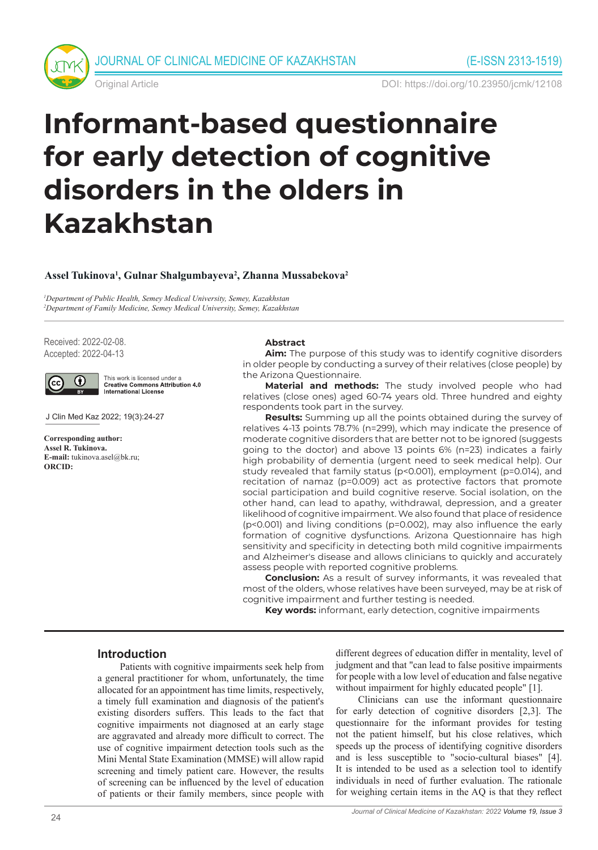

Original Article DOI: https://doi.org/10.23950/jcmk/12108

# **Informant-based questionnaire for early detection of cognitive disorders in the olders in Kazakhstan**

## **Assel Tukinova1 , Gulnar Shalgumbayeva2 , Zhanna Mussabekova2**

*1 Department of Public Health, Semey Medical University, Semey, Kazakhstan 2 Department of Family Medicine, Semey Medical University, Semey, Kazakhstan*

Received: 2022-02-08. Accepted: 2022-04-13



This work is licensed under a **Creative Commons Attribution 4.0**<br>International License

J Clin Med Kaz 2022; 19(3):24-27

**Corresponding author: Assel R. Tukinova. E-mail:** tukinova.asel@bk.ru; **ORCID:** 

#### **Abstract**

Aim: The purpose of this study was to identify cognitive disorders in older people by conducting a survey of their relatives (close people) by the Arizona Questionnaire.

**Material and methods:** The study involved people who had relatives (close ones) aged 60-74 years old. Three hundred and eighty respondents took part in the survey.

**Results:** Summing up all the points obtained during the survey of relatives 4-13 points 78.7% (n=299), which may indicate the presence of moderate cognitive disorders that are better not to be ignored (suggests going to the doctor) and above 13 points 6% (n=23) indicates a fairly high probability of dementia (urgent need to seek medical help). Our study revealed that family status (p<0.001), employment (p=0.014), and recitation of namaz (p=0.009) act as protective factors that promote social participation and build cognitive reserve. Social isolation, on the other hand, can lead to apathy, withdrawal, depression, and a greater likelihood of cognitive impairment. We also found that place of residence (p<0.001) and living conditions (p=0.002), may also influence the early formation of cognitive dysfunctions. Arizona Questionnaire has high sensitivity and specificity in detecting both mild cognitive impairments and Alzheimer's disease and allows clinicians to quickly and accurately assess people with reported cognitive problems.

**Conclusion:** As a result of survey informants, it was revealed that most of the olders, whose relatives have been surveyed, may be at risk of cognitive impairment and further testing is needed.

**Key words:** informant, early detection, cognitive impairments

### **Introduction**

Patients with cognitive impairments seek help from a general practitioner for whom, unfortunately, the time allocated for an appointment has time limits, respectively, a timely full examination and diagnosis of the patient's existing disorders suffers. This leads to the fact that cognitive impairments not diagnosed at an early stage are aggravated and already more difficult to correct. The use of cognitive impairment detection tools such as the Mini Mental State Examination (MMSE) will allow rapid screening and timely patient care. However, the results of screening can be influenced by the level of education of patients or their family members, since people with

different degrees of education differ in mentality, level of judgment and that "can lead to false positive impairments for people with a low level of education and false negative without impairment for highly educated people" [1].

Clinicians can use the informant questionnaire for early detection of cognitive disorders [2,3]. The questionnaire for the informant provides for testing not the patient himself, but his close relatives, which speeds up the process of identifying cognitive disorders and is less susceptible to "socio-cultural biases" [4]. It is intended to be used as a selection tool to identify individuals in need of further evaluation. The rationale for weighing certain items in the AQ is that they reflect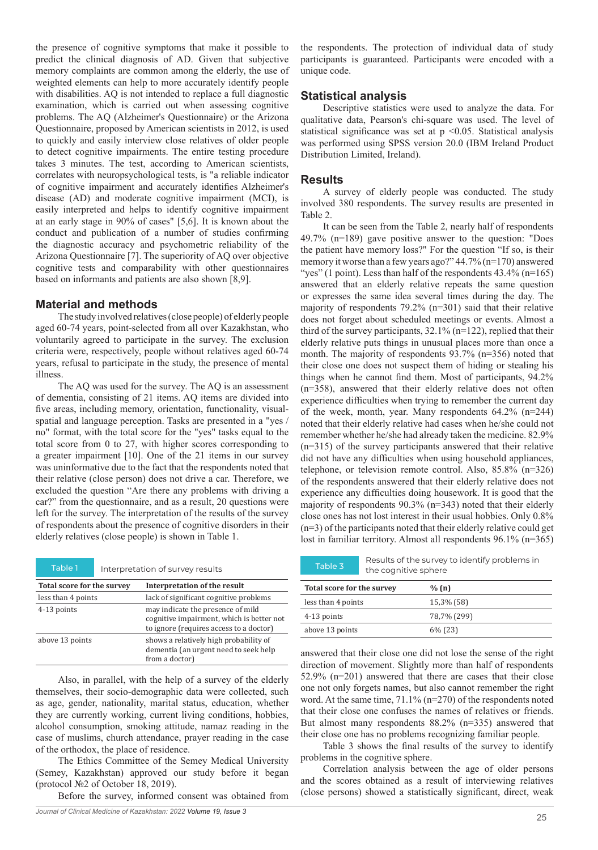the presence of cognitive symptoms that make it possible to predict the clinical diagnosis of AD. Given that subjective memory complaints are common among the elderly, the use of weighted elements can help to more accurately identify people with disabilities. AQ is not intended to replace a full diagnostic examination, which is carried out when assessing cognitive problems. The AQ (Alzheimer's Questionnaire) or the Arizona Questionnaire, proposed by American scientists in 2012, is used to quickly and easily interview close relatives of older people to detect cognitive impairments. The entire testing procedure takes 3 minutes. The test, according to American scientists, correlates with neuropsychological tests, is "a reliable indicator of cognitive impairment and accurately identifies Alzheimer's disease (AD) and moderate cognitive impairment (MCI), is easily interpreted and helps to identify cognitive impairment at an early stage in 90% of cases" [5,6]. It is known about the conduct and publication of a number of studies confirming the diagnostic accuracy and psychometric reliability of the Arizona Questionnaire [7]. The superiority of AQ over objective cognitive tests and comparability with other questionnaires based on informants and patients are also shown [8,9].

### **Material and methods**

The study involved relatives (close people) of elderly people aged 60-74 years, point-selected from all over Kazakhstan, who voluntarily agreed to participate in the survey. The exclusion criteria were, respectively, people without relatives aged 60-74 years, refusal to participate in the study, the presence of mental illness.

The AQ was used for the survey. The AQ is an assessment of dementia, consisting of 21 items. AQ items are divided into five areas, including memory, orientation, functionality, visualspatial and language perception. Tasks are presented in a "yes / no" format, with the total score for the "yes" tasks equal to the total score from 0 to 27, with higher scores corresponding to a greater impairment [10]. One of the 21 items in our survey was uninformative due to the fact that the respondents noted that their relative (close person) does not drive a car. Therefore, we excluded the question "Are there any problems with driving a car?" from the questionnaire, and as a result, 20 questions were left for the survey. The interpretation of the results of the survey of respondents about the presence of cognitive disorders in their elderly relatives (close people) is shown in Table 1.

| Table 1                        | Interpretation of survey results | Table 3                                                                                           |                            |
|--------------------------------|----------------------------------|---------------------------------------------------------------------------------------------------|----------------------------|
| Total score for the survey     |                                  | Interpretation of the result                                                                      | <b>Total score</b>         |
| less than 4 points             |                                  | lack of significant cognitive problems                                                            | less than $41$             |
| 4-13 points<br>above 13 points |                                  | may indicate the presence of mild<br>cognitive impairment, which is better not                    | 4-13 points                |
|                                |                                  | to ignore (requires access to a doctor)                                                           | above 13 po                |
|                                |                                  | shows a relatively high probability of<br>dementia (an urgent need to seek help<br>from a doctor) | answered t<br>direction of |

Also, in parallel, with the help of a survey of the elderly themselves, their socio-demographic data were collected, such as age, gender, nationality, marital status, education, whether they are currently working, current living conditions, hobbies, alcohol consumption, smoking attitude, namaz reading in the case of muslims, church attendance, prayer reading in the case of the orthodox, the place of residence.

The Ethics Committee of the Semey Medical University (Semey, Kazakhstan) approved our study before it began (protocol №2 of October 18, 2019).

Before the survey, informed consent was obtained from

*Journal of Clinical Medicine of Kazakhstan: 2022 Volume 19, Issue 3*

the respondents. The protection of individual data of study participants is guaranteed. Participants were encoded with a unique code.

### **Statistical analysis**

Descriptive statistics were used to analyze the data. For qualitative data, Pearson's chi-square was used. The level of statistical significance was set at  $p < 0.05$ . Statistical analysis was performed using SPSS version 20.0 (IBM Ireland Product Distribution Limited, Ireland).

#### **Results**

A survey of elderly people was conducted. The study involved 380 respondents. The survey results are presented in Table 2.

It can be seen from the Table 2, nearly half of respondents 49.7% (n=189) gave positive answer to the question: "Does the patient have memory loss?" For the question "If so, is their memory it worse than a few years ago?" 44.7% (n=170) answered "yes" (1 point). Less than half of the respondents  $43.4\%$  (n=165) answered that an elderly relative repeats the same question or expresses the same idea several times during the day. The majority of respondents 79.2% (n=301) said that their relative does not forget about scheduled meetings or events. Almost a third of the survey participants,  $32.1\%$  (n=122), replied that their elderly relative puts things in unusual places more than once a month. The majority of respondents 93.7% (n=356) noted that their close one does not suspect them of hiding or stealing his things when he cannot find them. Most of participants, 94.2% (n=358), answered that their elderly relative does not often experience difficulties when trying to remember the current day of the week, month, year. Many respondents 64.2% (n=244) noted that their elderly relative had cases when he/she could not remember whether he/she had already taken the medicine. 82.9% (n=315) of the survey participants answered that their relative did not have any difficulties when using household appliances, telephone, or television remote control. Also, 85.8% (n=326) of the respondents answered that their elderly relative does not experience any difficulties doing housework. It is good that the majority of respondents 90.3% (n=343) noted that their elderly close ones has not lost interest in their usual hobbies. Only 0.8% (n=3) of the participants noted that their elderly relative could get lost in familiar territory. Almost all respondents 96.1% (n=365)

Results of the survey to identify problems in the cognitive sphere

| Total score for the survey | % (n)       |  |  |
|----------------------------|-------------|--|--|
| less than 4 points         | 15,3% (58)  |  |  |
| 4-13 points                | 78,7% (299) |  |  |
| above 13 points            | $6\%$ (23)  |  |  |

answered that their close one did not lose the sense of the right direction of movement. Slightly more than half of respondents 52.9% (n=201) answered that there are cases that their close one not only forgets names, but also cannot remember the right word. At the same time, 71.1% (n=270) of the respondents noted that their close one confuses the names of relatives or friends. But almost many respondents 88.2% (n=335) answered that their close one has no problems recognizing familiar people.

Table 3 shows the final results of the survey to identify problems in the cognitive sphere.

Correlation analysis between the age of older persons and the scores obtained as a result of interviewing relatives (close persons) showed a statistically significant, direct, weak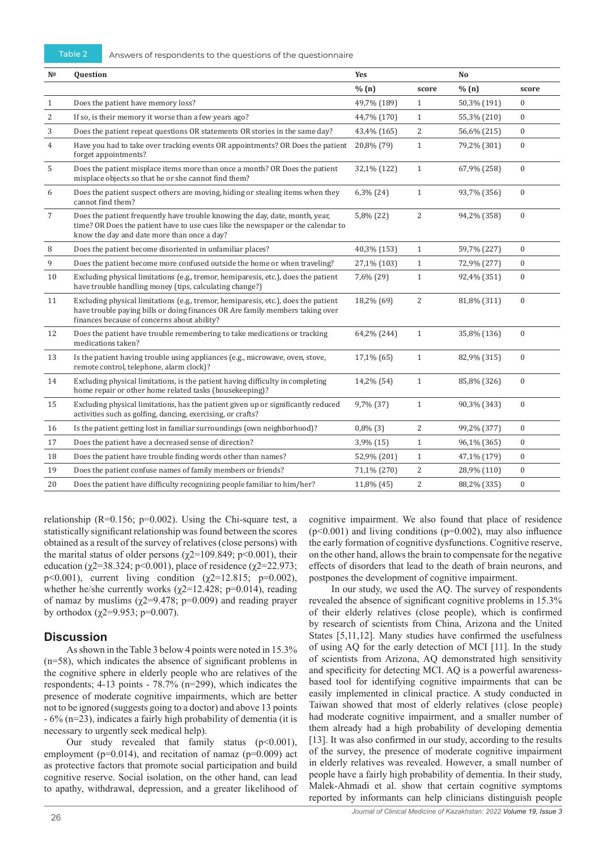| N <sup>o</sup> | Question                                                                                                                                                                                                           | <b>Yes</b>    |                | N <sub>0</sub> |                  |
|----------------|--------------------------------------------------------------------------------------------------------------------------------------------------------------------------------------------------------------------|---------------|----------------|----------------|------------------|
|                |                                                                                                                                                                                                                    | % (n)         | score          | % (n)          | score            |
| $\mathbf{1}$   | Does the patient have memory loss?                                                                                                                                                                                 | 49,7% (189)   | 1              | 50,3% (191)    | $\mathbf{0}$     |
| 2              | If so, is their memory it worse than a few years ago?                                                                                                                                                              | 44,7% (170)   | $\mathbf{1}$   | 55,3% (210)    | $\boldsymbol{0}$ |
| 3              | Does the patient repeat questions OR statements OR stories in the same day?                                                                                                                                        | 43,4% (165)   | 2              | 56,6% (215)    | $\mathbf{0}$     |
| 4              | Have you had to take over tracking events OR appointments? OR Does the patient<br>forget appointments?                                                                                                             | 20,8% (79)    | $\mathbf{1}$   | 79,2% (301)    | $\mathbf{0}$     |
| 5              | Does the patient misplace items more than once a month? OR Does the patient<br>misplace objects so that he or she cannot find them?                                                                                | 32,1% (122)   | $\mathbf{1}$   | 67,9% (258)    | $\mathbf{0}$     |
| 6              | Does the patient suspect others are moving, hiding or stealing items when they<br>cannot find them?                                                                                                                | 6,3% (24)     | $\mathbf{1}$   | 93,7% (356)    | $\mathbf{0}$     |
| 7              | Does the patient frequently have trouble knowing the day, date, month, year,<br>time? OR Does the patient have to use cues like the newspaper or the calendar to<br>know the day and date more than once a day?    | 5,8% (22)     | $\overline{2}$ | 94,2% (358)    | $\mathbf{0}$     |
| 8              | Does the patient become disoriented in unfamiliar places?                                                                                                                                                          | 40,3% (153)   | $\mathbf{1}$   | 59,7% (227)    | $\mathbf{0}$     |
| 9              | Does the patient become more confused outside the home or when traveling?                                                                                                                                          | 27,1% (103)   | $\mathbf{1}$   | 72,9% (277)    | $\mathbf{0}$     |
| 10             | Excluding physical limitations (e.g., tremor, hemiparesis, etc.), does the patient<br>have trouble handling money (tips, calculating change?)                                                                      | 7,6% (29)     | $\mathbf{1}$   | 92,4% (351)    | $\Omega$         |
| 11             | Excluding physical limitations (e.g., tremor, hemiparesis, etc.), does the patient<br>have trouble paying bills or doing finances OR Are family members taking over<br>finances because of concerns about ability? | 18,2% (69)    | 2              | 81,8% (311)    | $\mathbf{0}$     |
| 12             | Does the patient have trouble remembering to take medications or tracking<br>medications taken?                                                                                                                    | 64,2% (244)   | $\mathbf{1}$   | 35,8% (136)    | $\overline{0}$   |
| 13             | Is the patient having trouble using appliances (e.g., microwave, oven, stove,<br>remote control, telephone, alarm clock)?                                                                                          | 17,1% (65)    | $\mathbf{1}$   | 82,9% (315)    | $\mathbf{0}$     |
| 14             | Excluding physical limitations, is the patient having difficulty in completing<br>home repair or other home related tasks (housekeeping)?                                                                          | 14,2% (54)    | $\mathbf{1}$   | 85,8% (326)    | $\mathbf{0}$     |
| 15             | Excluding physical limitations, has the patient given up or significantly reduced<br>activities such as golfing, dancing, exercising, or crafts?                                                                   | 9,7% (37)     | $\mathbf{1}$   | 90,3% (343)    | $\mathbf{0}$     |
| 16             | Is the patient getting lost in familiar surroundings (own neighborhood)?                                                                                                                                           | $0,8\%$ $(3)$ | $\overline{2}$ | 99,2% (377)    | $\mathbf{0}$     |
| 17             | Does the patient have a decreased sense of direction?                                                                                                                                                              | 3,9% (15)     | $\mathbf{1}$   | 96,1% (365)    | $\mathbf{0}$     |
| 18             | Does the patient have trouble finding words other than names?                                                                                                                                                      | 52,9% (201)   | $\mathbf{1}$   | 47,1% (179)    | $\mathbf{0}$     |
| 19             | Does the patient confuse names of family members or friends?                                                                                                                                                       | 71,1% (270)   | 2              | 28,9% (110)    | $\Omega$         |
| 20             | Does the patient have difficulty recognizing people familiar to him/her?                                                                                                                                           | 11,8% (45)    | 2              | 88,2% (335)    | $\mathbf{0}$     |
|                |                                                                                                                                                                                                                    |               |                |                |                  |

relationship ( $R=0.156$ ;  $p=0.002$ ). Using the Chi-square test, a statistically significant relationship was found between the scores obtained as a result of the survey of relatives (close persons) with the marital status of older persons ( $\chi$ 2=109.849; p<0.001), their education ( $\chi$ 2=38.324; p<0.001), place of residence ( $\chi$ 2=22.973; p<0.001), current living condition ( $χ2=12.815$ ; p=0.002), whether he/she currently works ( $\gamma$ 2=12.428; p=0.014), reading of namaz by muslims ( $\chi$ 2=9.478; p=0.009) and reading prayer by orthodox ( $\chi$ 2=9.953; p=0.007).

#### **Discussion**

As shown in the Table 3 below 4 points were noted in 15.3% (n=58), which indicates the absence of significant problems in the cognitive sphere in elderly people who are relatives of the respondents; 4-13 points - 78.7% (n=299), which indicates the presence of moderate cognitive impairments, which are better not to be ignored (suggests going to a doctor) and above 13 points - 6% (n=23), indicates a fairly high probability of dementia (it is necessary to urgently seek medical help).

Our study revealed that family status  $(p<0.001)$ , employment ( $p=0.014$ ), and recitation of namaz ( $p=0.009$ ) act as protective factors that promote social participation and build cognitive reserve. Social isolation, on the other hand, can lead to apathy, withdrawal, depression, and a greater likelihood of cognitive impairment. We also found that place of residence  $(p<0.001)$  and living conditions  $(p=0.002)$ , may also influence the early formation of cognitive dysfunctions. Cognitive reserve, on the other hand, allows the brain to compensate for the negative effects of disorders that lead to the death of brain neurons, and postpones the development of cognitive impairment.

In our study, we used the AQ. The survey of respondents revealed the absence of significant cognitive problems in 15.3% of their elderly relatives (close people), which is confirmed by research of scientists from China, Arizona and the United States [5,11,12]. Many studies have confirmed the usefulness of using AQ for the early detection of MCI [11]. In the study of scientists from Arizona, AQ demonstrated high sensitivity and specificity for detecting MCI. AQ is a powerful awarenessbased tool for identifying cognitive impairments that can be easily implemented in clinical practice. A study conducted in Taiwan showed that most of elderly relatives (close people) had moderate cognitive impairment, and a smaller number of them already had a high probability of developing dementia [13]. It was also confirmed in our study, according to the results of the survey, the presence of moderate cognitive impairment in elderly relatives was revealed. However, a small number of people have a fairly high probability of dementia. In their study, Malek-Ahmadi et al. show that certain cognitive symptoms reported by informants can help clinicians distinguish people